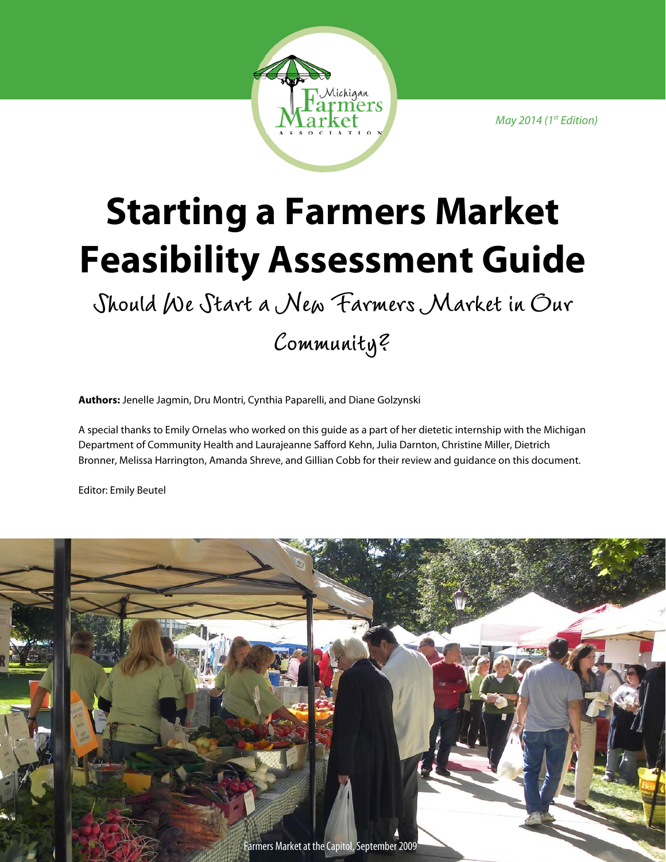May 2014 (1st Edition)



# **Starting a Farmers Market Feasibility Assessment Guide**

**Should We Start a New Farmers Market in Our** 

**Community?** 

**Authors:** Jenelle Jagmin, Dru Montri, Cynthia Paparelli, and Diane Golzynski

A special thanks to Emily Ornelas who worked on this guide as a part of her dietetic internship with the Michigan Department of Community Health and Laurajeanne Safford Kehn, Julia Darnton, Christine Miller, Dietrich Bronner, Melissa Harrington, Amanda Shreve, and Gillian Cobb for their review and guidance on this document.

Editor: Emily Beutel

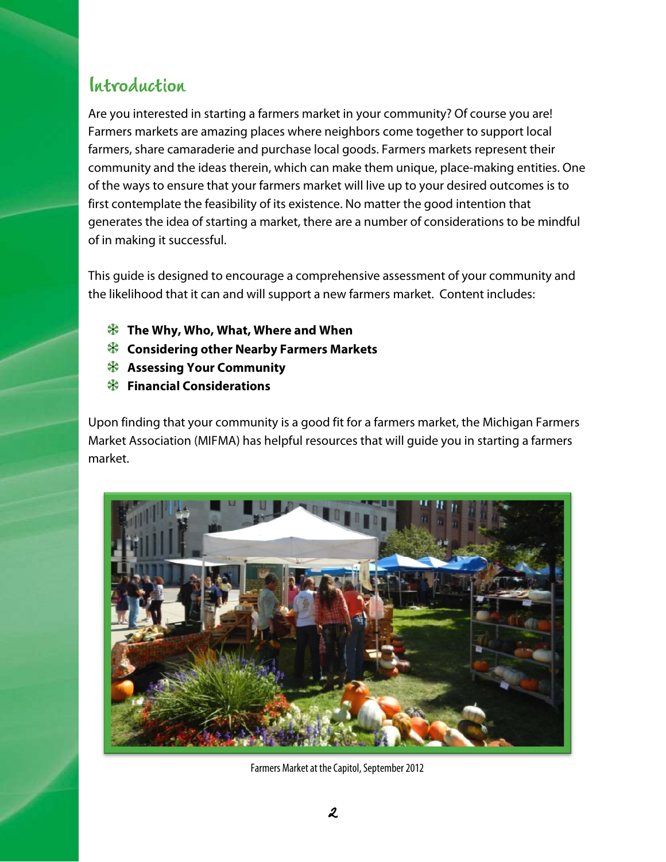### **Introduction Introduction**

Are you interested in starting a farmers market in your community? Of course you are! Farmers markets are amazing places where neighbors come together to support local farmers, share camaraderie and purchase local goods. Farmers markets represent their community and the ideas therein, which can make them unique, place-making entities. One of the ways to ensure that your farmers market will live up to your desired outcomes is to first contemplate the feasibility of its existence. No matter the good intention that generates the idea of starting a market, there are a number of considerations to be mindful of in making it successful.

This guide is designed to encourage a comprehensive assessment of your community and the likelihood that it can and will support a new farmers market. Content includes:

- **The Why, Who, What, Where and When**
- **Considering other Nearby Farmers Markets**
- **Assessing Your Community**
- **Financial Considerations**

Upon finding that your community is a good fit for a farmers market, the Michigan Farmers Market Association (MIFMA) has helpful resources that will guide you in starting a farmers market.



Farmers Market at the Capitol, September 2012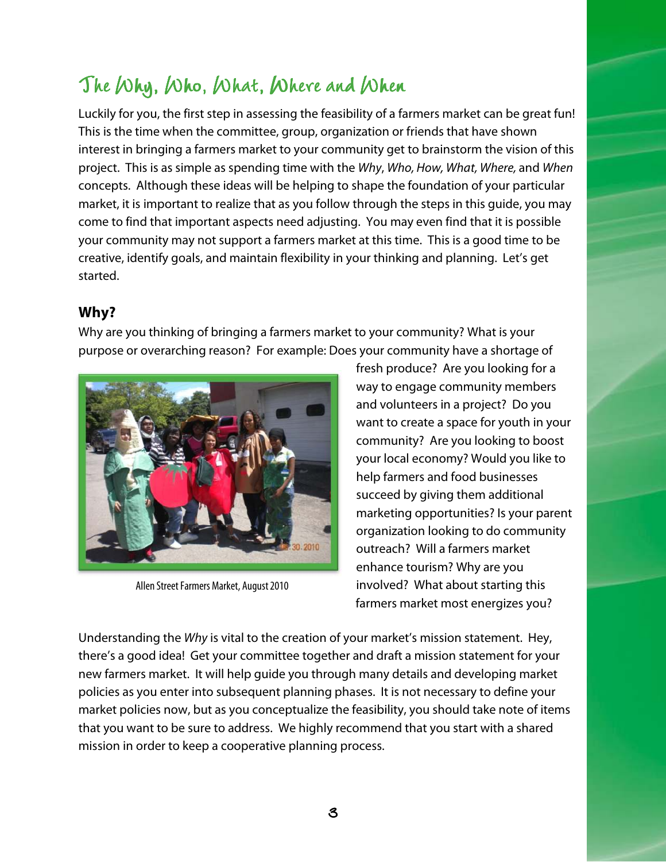# The Why, Who, What, Where and When

Luckily for you, the first step in assessing the feasibility of a farmers market can be great fun! This is the time when the committee, group, organization or friends that have shown interest in bringing a farmers market to your community get to brainstorm the vision of this project. This is as simple as spending time with the Why, Who, How, What, Where, and When concepts. Although these ideas will be helping to shape the foundation of your particular market, it is important to realize that as you follow through the steps in this guide, you may come to find that important aspects need adjusting. You may even find that it is possible your community may not support a farmers market at this time. This is a good time to be creative, identify goals, and maintain flexibility in your thinking and planning. Let's get started.

#### **Why?**

Why are you thinking of bringing a farmers market to your community? What is your purpose or overarching reason? For example: Does your community have a shortage of



Allen Street Farmers Market, August 2010

fresh produce? Are you looking for a way to engage community members and volunteers in a project? Do you want to create a space for youth in your community? Are you looking to boost your local economy? Would you like to help farmers and food businesses succeed by giving them additional marketing opportunities? Is your parent organization looking to do community outreach? Will a farmers market enhance tourism? Why are you involved? What about starting this farmers market most energizes you?

Understanding the Why is vital to the creation of your market's mission statement. Hey, there's a good idea! Get your committee together and draft a mission statement for your new farmers market. It will help guide you through many details and developing market policies as you enter into subsequent planning phases. It is not necessary to define your market policies now, but as you conceptualize the feasibility, you should take note of items that you want to be sure to address. We highly recommend that you start with a shared mission in order to keep a cooperative planning process.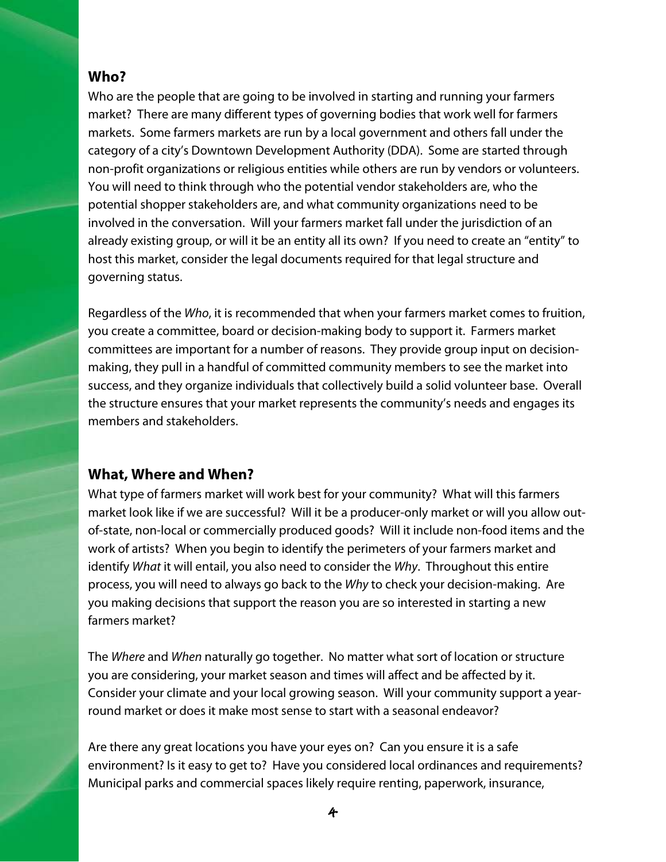#### **Who?**

Who are the people that are going to be involved in starting and running your farmers market? There are many different types of governing bodies that work well for farmers markets. Some farmers markets are run by a local government and others fall under the category of a city's Downtown Development Authority (DDA). Some are started through non-profit organizations or religious entities while others are run by vendors or volunteers. You will need to think through who the potential vendor stakeholders are, who the potential shopper stakeholders are, and what community organizations need to be involved in the conversation. Will your farmers market fall under the jurisdiction of an already existing group, or will it be an entity all its own? If you need to create an "entity" to host this market, consider the legal documents required for that legal structure and governing status.

Regardless of the Who, it is recommended that when your farmers market comes to fruition, you create a committee, board or decision-making body to support it. Farmers market committees are important for a number of reasons. They provide group input on decisionmaking, they pull in a handful of committed community members to see the market into success, and they organize individuals that collectively build a solid volunteer base. Overall the structure ensures that your market represents the community's needs and engages its members and stakeholders.

#### **What, Where and When?**

What type of farmers market will work best for your community? What will this farmers market look like if we are successful? Will it be a producer-only market or will you allow outof-state, non-local or commercially produced goods? Will it include non-food items and the work of artists? When you begin to identify the perimeters of your farmers market and identify What it will entail, you also need to consider the Why. Throughout this entire process, you will need to always go back to the Why to check your decision-making. Are you making decisions that support the reason you are so interested in starting a new farmers market?

The Where and When naturally go together. No matter what sort of location or structure you are considering, your market season and times will affect and be affected by it. Consider your climate and your local growing season. Will your community support a yearround market or does it make most sense to start with a seasonal endeavor?

Are there any great locations you have your eyes on? Can you ensure it is a safe environment? Is it easy to get to? Have you considered local ordinances and requirements? Municipal parks and commercial spaces likely require renting, paperwork, insurance,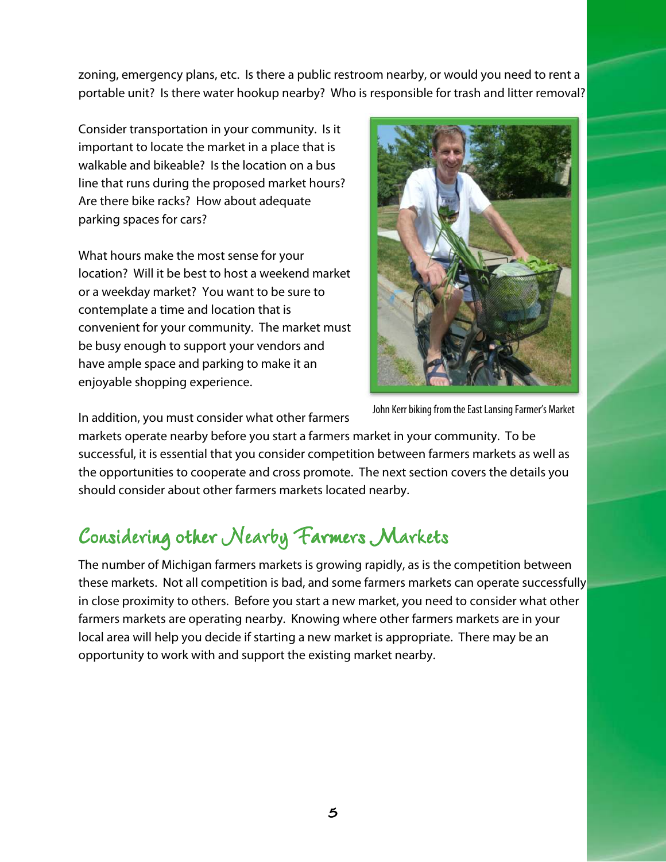zoning, emergency plans, etc. Is there a public restroom nearby, or would you need to rent a portable unit? Is there water hookup nearby? Who is responsible for trash and litter removal?

Consider transportation in your community. Is it important to locate the market in a place that is walkable and bikeable? Is the location on a bus line that runs during the proposed market hours? Are there bike racks? How about adequate parking spaces for cars?

What hours make the most sense for your location? Will it be best to host a weekend market or a weekday market? You want to be sure to contemplate a time and location that is convenient for your community. The market must be busy enough to support your vendors and have ample space and parking to make it an enjoyable shopping experience.



In addition, you must consider what other farmers

markets operate nearby before you start a farmers market in your community. To be successful, it is essential that you consider competition between farmers markets as well as the opportunities to cooperate and cross promote. The next section covers the details you should consider about other farmers markets located nearby.

# **Considering other Nearby Farmers Markets**

The number of Michigan farmers markets is growing rapidly, as is the competition between these markets. Not all competition is bad, and some farmers markets can operate successfully in close proximity to others. Before you start a new market, you need to consider what other farmers markets are operating nearby. Knowing where other farmers markets are in your local area will help you decide if starting a new market is appropriate. There may be an opportunity to work with and support the existing market nearby.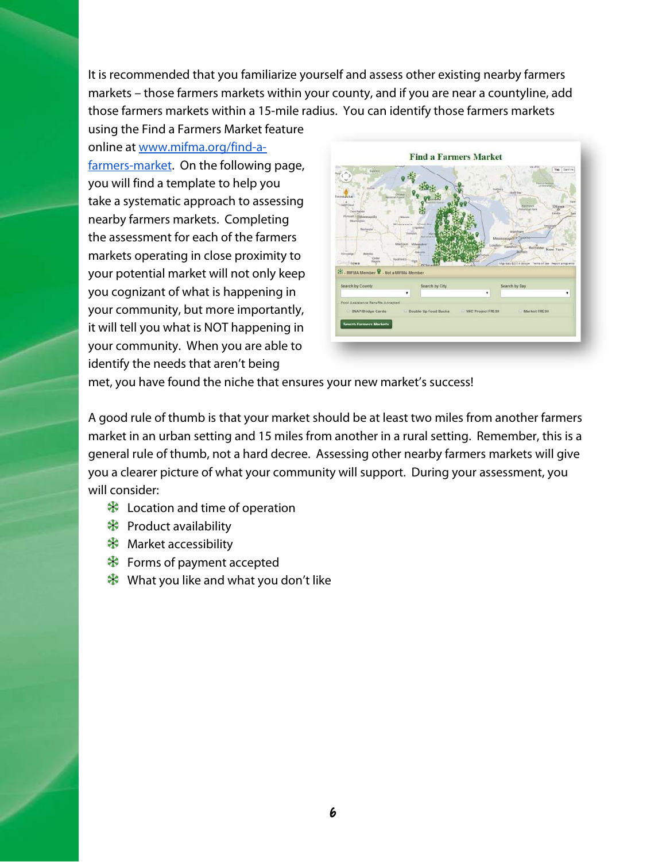It is recommended that you familiarize yourself and assess other existing nearby farmers markets – those farmers markets within your county, and if you are near a countyline, add those farmers markets within a 15-mile radius. You can identify those farmers markets

using the Find a Farmers Market feature online at www.mifma.org/find-afarmers-market. On the following page, you will find a template to help you take a systematic approach to assessing nearby farmers markets. Completing the assessment for each of the farmers markets operating in close proximity to your potential market will not only keep you cognizant of what is happening in your community, but more importantly, it will tell you what is NOT happening in your community. When you are able to identify the needs that aren't being



met, you have found the niche that ensures your new market's success!

A good rule of thumb is that your market should be at least two miles from another farmers market in an urban setting and 15 miles from another in a rural setting. Remember, this is a general rule of thumb, not a hard decree. Assessing other nearby farmers markets will give you a clearer picture of what your community will support. During your assessment, you will consider:

- $\clubsuit$  Location and time of operation
- $\clubsuit$  Product availability
- **X** Market accessibility
- **<sup>♦</sup>** Forms of payment accepted
- $\clubsuit$  What you like and what you don't like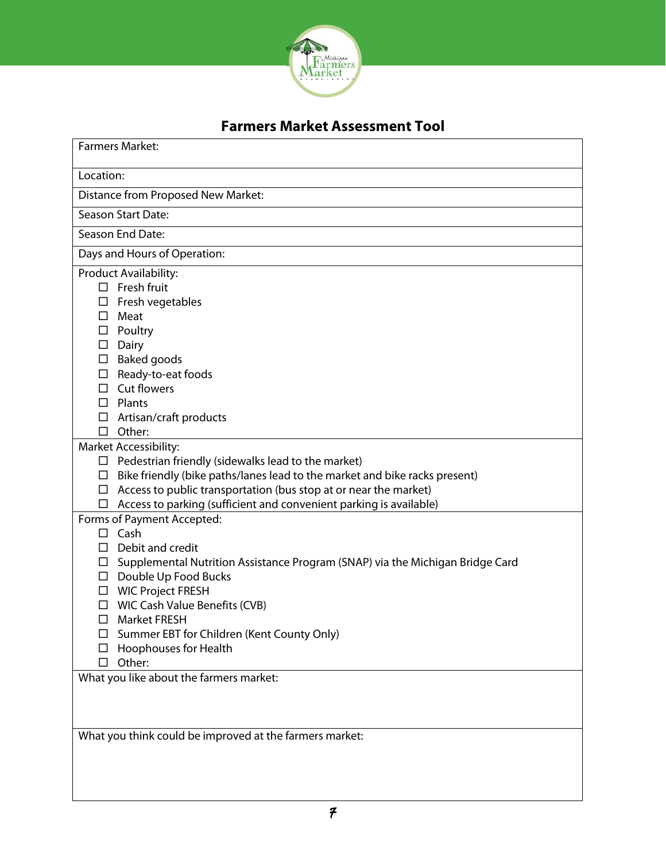

### **Farmers Market Assessment Tool**

| <b>Farmers Market:</b>                                                                                                                                                                                                                                                                                                                                                                                                       |
|------------------------------------------------------------------------------------------------------------------------------------------------------------------------------------------------------------------------------------------------------------------------------------------------------------------------------------------------------------------------------------------------------------------------------|
| Location:                                                                                                                                                                                                                                                                                                                                                                                                                    |
| Distance from Proposed New Market:                                                                                                                                                                                                                                                                                                                                                                                           |
| <b>Season Start Date:</b>                                                                                                                                                                                                                                                                                                                                                                                                    |
| Season End Date:                                                                                                                                                                                                                                                                                                                                                                                                             |
| Days and Hours of Operation:                                                                                                                                                                                                                                                                                                                                                                                                 |
| Product Availability:<br>$\Box$ Fresh fruit<br>Fresh vegetables<br>ப<br>Meat<br>ப<br>Poultry<br>Dairy<br>$\Box$<br>$\square$ Baked goods<br>Ready-to-eat foods<br>□<br>Cut flowers<br>П<br>Plants<br>Ш<br>Artisan/craft products<br>ப                                                                                                                                                                                        |
| Other:<br>$\Box$                                                                                                                                                                                                                                                                                                                                                                                                             |
| <b>Market Accessibility:</b><br>Pedestrian friendly (sidewalks lead to the market)<br>ப<br>Bike friendly (bike paths/lanes lead to the market and bike racks present)<br>ப<br>Access to public transportation (bus stop at or near the market)<br>□<br>Access to parking (sufficient and convenient parking is available)<br>□                                                                                               |
| Forms of Payment Accepted:<br>Cash<br>Ш<br>Debit and credit<br>ш<br>Supplemental Nutrition Assistance Program (SNAP) via the Michigan Bridge Card<br>$\Box$<br>$\square$ Double Up Food Bucks<br><b>WIC Project FRESH</b><br>ப<br>WIC Cash Value Benefits (CVB)<br><b>Market FRESH</b><br>□<br>Summer EBT for Children (Kent County Only)<br>ப<br>Hoophouses for Health<br>Other:<br>What you like about the farmers market: |
| What you think could be improved at the farmers market:                                                                                                                                                                                                                                                                                                                                                                      |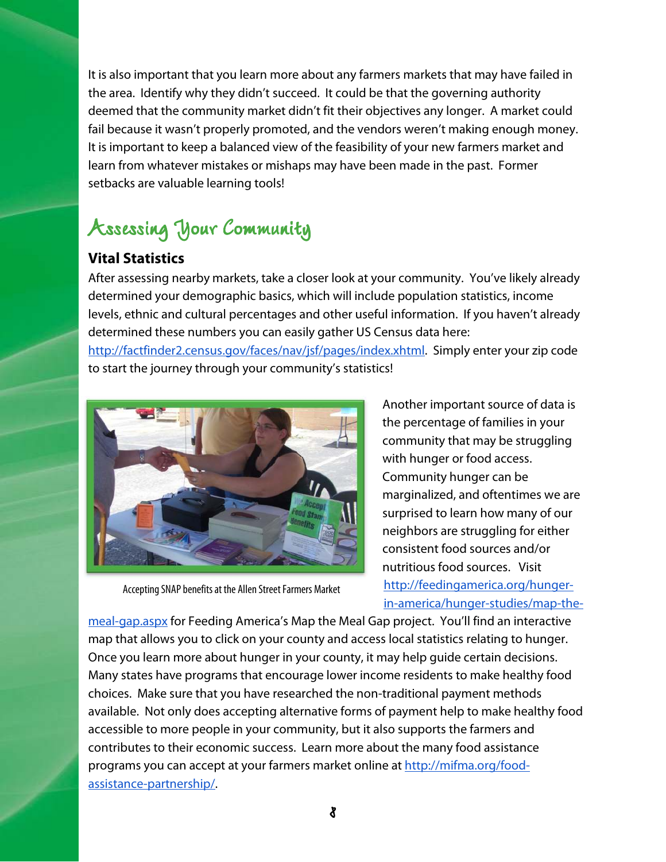It is also important that you learn more about any farmers markets that may have failed in the area. Identify why they didn't succeed. It could be that the governing authority deemed that the community market didn't fit their objectives any longer. A market could fail because it wasn't properly promoted, and the vendors weren't making enough money. It is important to keep a balanced view of the feasibility of your new farmers market and learn from whatever mistakes or mishaps may have been made in the past. Former setbacks are valuable learning tools!

# **Assessing Your Community Community**

#### **Vital Statistics**

After assessing nearby markets, take a closer look at your community. You've likely already determined your demographic basics, which will include population statistics, income levels, ethnic and cultural percentages and other useful information. If you haven't already determined these numbers you can easily gather US Census data here:

http://factfinder2.census.gov/faces/nav/jsf/pages/index.xhtml. Simply enter your zip code to start the journey through your community's statistics!



Accepting SNAP benefits at the Allen Street Farmers Market

Another important source of data is the percentage of families in your community that may be struggling with hunger or food access. Community hunger can be marginalized, and oftentimes we are surprised to learn how many of our neighbors are struggling for either consistent food sources and/or nutritious food sources. Visit http://feedingamerica.org/hungerin-america/hunger-studies/map-the-

meal-gap.aspx for Feeding America's Map the Meal Gap project. You'll find an interactive map that allows you to click on your county and access local statistics relating to hunger. Once you learn more about hunger in your county, it may help guide certain decisions. Many states have programs that encourage lower income residents to make healthy food choices. Make sure that you have researched the non-traditional payment methods available. Not only does accepting alternative forms of payment help to make healthy food accessible to more people in your community, but it also supports the farmers and contributes to their economic success. Learn more about the many food assistance programs you can accept at your farmers market online at http://mifma.org/foodassistance-partnership/.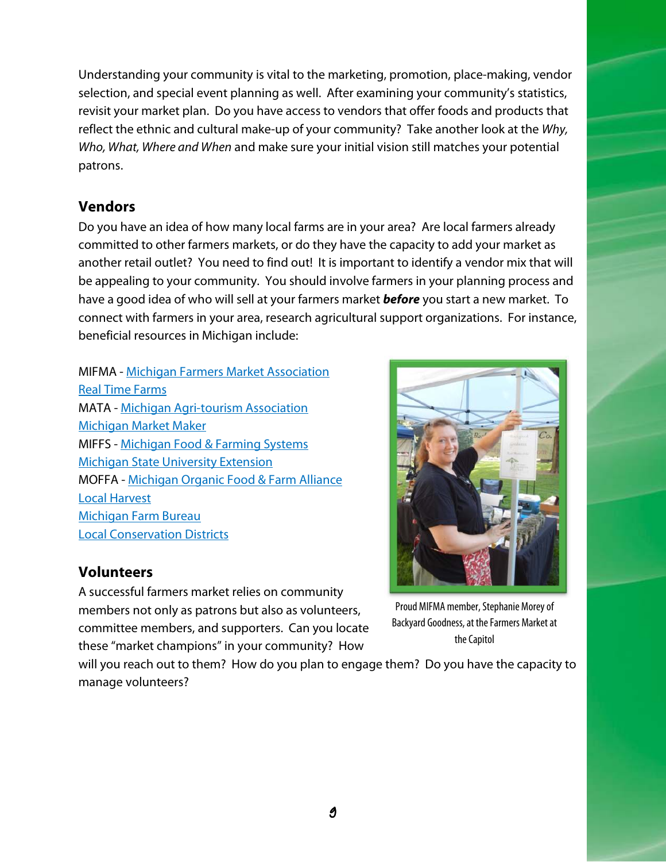Understanding your community is vital to the marketing, promotion, place-making, vendor selection, and special event planning as well. After examining your community's statistics, revisit your market plan. Do you have access to vendors that offer foods and products that reflect the ethnic and cultural make-up of your community? Take another look at the Why, Who, What, Where and When and make sure your initial vision still matches your potential patrons.

#### **Vendors**

Do you have an idea of how many local farms are in your area? Are local farmers already committed to other farmers markets, or do they have the capacity to add your market as another retail outlet? You need to find out! It is important to identify a vendor mix that will be appealing to your community. You should involve farmers in your planning process and have a good idea of who will sell at your farmers market **before** you start a new market. To connect with farmers in your area, research agricultural support organizations. For instance, beneficial resources in Michigan include:

MIFMA - Michigan Farmers Market Association Real Time Farms MATA - Michigan Agri-tourism Association Michigan Market Maker MIFFS - Michigan Food & Farming Systems Michigan State University Extension MOFFA - Michigan Organic Food & Farm Alliance Local Harvest Michigan Farm Bureau Local Conservation Districts

#### **Volunteers**

A successful farmers market relies on community members not only as patrons but also as volunteers, committee members, and supporters. Can you locate these "market champions" in your community? How

will you reach out to them? How do you plan to engage them? Do you have the capacity to manage volunteers?



Proud MIFMA member, Stephanie Morey of Backyard Goodness, at the Farmers Market at the Capitol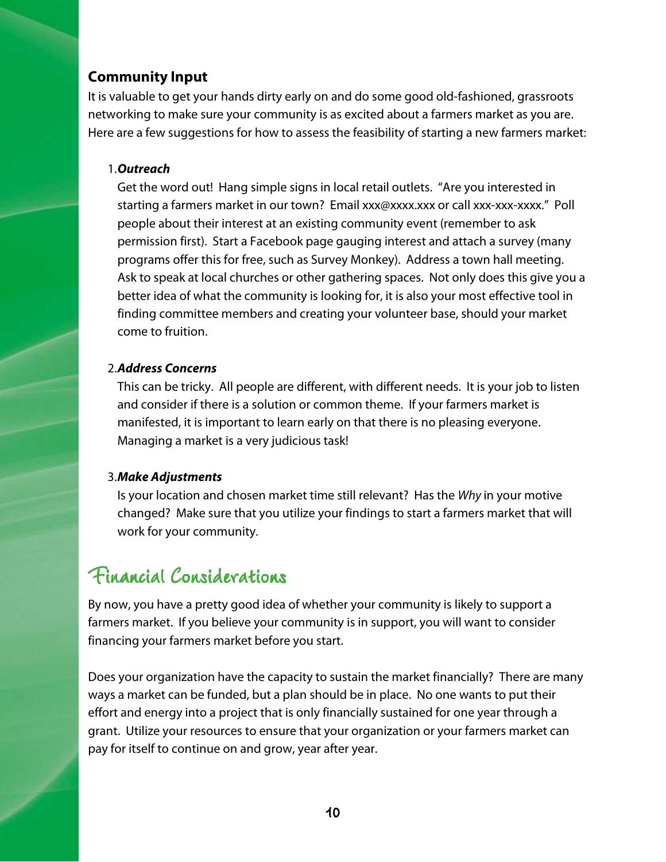#### **Community Input**

It is valuable to get your hands dirty early on and do some good old-fashioned, grassroots networking to make sure your community is as excited about a farmers market as you are. Here are a few suggestions for how to assess the feasibility of starting a new farmers market:

#### 1.**Outreach**

Get the word out! Hang simple signs in local retail outlets. "Are you interested in starting a farmers market in our town? Email xxx@xxxx.xxx or call xxx-xxx-xxxx." Poll people about their interest at an existing community event (remember to ask permission first). Start a Facebook page gauging interest and attach a survey (many programs offer this for free, such as Survey Monkey). Address a town hall meeting. Ask to speak at local churches or other gathering spaces. Not only does this give you a better idea of what the community is looking for, it is also your most effective tool in finding committee members and creating your volunteer base, should your market come to fruition.

#### 2.**Address Concerns**

This can be tricky. All people are different, with different needs. It is your job to listen and consider if there is a solution or common theme. If your farmers market is manifested, it is important to learn early on that there is no pleasing everyone. Managing a market is a very judicious task!

#### 3.**Make Adjustments**

Is your location and chosen market time still relevant? Has the Why in your motive changed? Make sure that you utilize your findings to start a farmers market that will work for your community.

### Financial Considerations

By now, you have a pretty good idea of whether your community is likely to support a farmers market. If you believe your community is in support, you will want to consider financing your farmers market before you start.

Does your organization have the capacity to sustain the market financially? There are many ways a market can be funded, but a plan should be in place. No one wants to put their effort and energy into a project that is only financially sustained for one year through a grant. Utilize your resources to ensure that your organization or your farmers market can pay for itself to continue on and grow, year after year.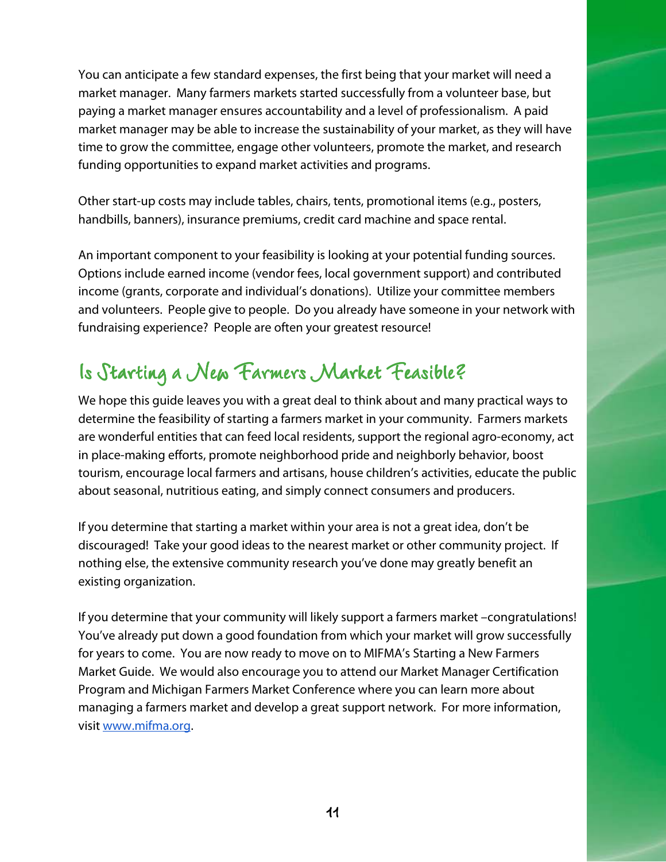You can anticipate a few standard expenses, the first being that your market will need a market manager. Many farmers markets started successfully from a volunteer base, but paying a market manager ensures accountability and a level of professionalism. A paid market manager may be able to increase the sustainability of your market, as they will have time to grow the committee, engage other volunteers, promote the market, and research funding opportunities to expand market activities and programs.

Other start-up costs may include tables, chairs, tents, promotional items (e.g., posters, handbills, banners), insurance premiums, credit card machine and space rental.

An important component to your feasibility is looking at your potential funding sources. Options include earned income (vendor fees, local government support) and contributed income (grants, corporate and individual's donations). Utilize your committee members and volunteers. People give to people. Do you already have someone in your network with fundraising experience? People are often your greatest resource!

### **Is Starting a New Farmers Market Feasible?**

We hope this guide leaves you with a great deal to think about and many practical ways to determine the feasibility of starting a farmers market in your community. Farmers markets are wonderful entities that can feed local residents, support the regional agro-economy, act in place-making efforts, promote neighborhood pride and neighborly behavior, boost tourism, encourage local farmers and artisans, house children's activities, educate the public about seasonal, nutritious eating, and simply connect consumers and producers.

If you determine that starting a market within your area is not a great idea, don't be discouraged! Take your good ideas to the nearest market or other community project. If nothing else, the extensive community research you've done may greatly benefit an existing organization.

If you determine that your community will likely support a farmers market –congratulations! You've already put down a good foundation from which your market will grow successfully for years to come. You are now ready to move on to MIFMA's Starting a New Farmers Market Guide. We would also encourage you to attend our Market Manager Certification Program and Michigan Farmers Market Conference where you can learn more about managing a farmers market and develop a great support network. For more information, visit www.mifma.org.